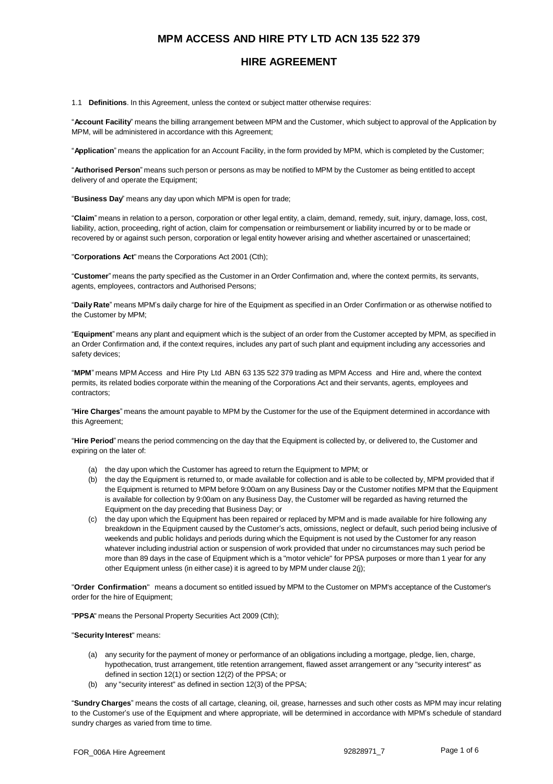### **HIRE AGREEMENT**

1.1 **Definitions**. In this Agreement, unless the context or subject matter otherwise requires:

"**Account Facility**" means the billing arrangement between MPM and the Customer, which subject to approval of the Application by MPM, will be administered in accordance with this Agreement;

"**Application**" means the application for an Account Facility, in the form provided by MPM, which is completed by the Customer;

"**Authorised Person**" means such person or persons as may be notified to MPM by the Customer as being entitled to accept delivery of and operate the Equipment;

"**Business Day**" means any day upon which MPM is open for trade;

"**Claim**" means in relation to a person, corporation or other legal entity, a claim, demand, remedy, suit, injury, damage, loss, cost, liability, action, proceeding, right of action, claim for compensation or reimbursement or liability incurred by or to be made or recovered by or against such person, corporation or legal entity however arising and whether ascertained or unascertained;

"**Corporations Act**" means the Corporations Act 2001 (Cth);

"**Customer**" means the party specified as the Customer in an Order Confirmation and, where the context permits, its servants, agents, employees, contractors and Authorised Persons;

"**Daily Rate**" means MPM's daily charge for hire of the Equipment as specified in an Order Confirmation or as otherwise notified to the Customer by MPM;

"**Equipment**" means any plant and equipment which is the subject of an order from the Customer accepted by MPM, as specified in an Order Confirmation and, if the context requires, includes any part of such plant and equipment including any accessories and safety devices;

"**MPM**" means MPM Access and Hire Pty Ltd ABN 63 135 522 379 trading as MPM Access and Hire and, where the context permits, its related bodies corporate within the meaning of the Corporations Act and their servants, agents, employees and contractors;

"**Hire Charges**" means the amount payable to MPM by the Customer for the use of the Equipment determined in accordance with this Agreement:

"**Hire Period**" means the period commencing on the day that the Equipment is collected by, or delivered to, the Customer and expiring on the later of:

- (a) the day upon which the Customer has agreed to return the Equipment to MPM; or
- (b) the day the Equipment is returned to, or made available for collection and is able to be collected by, MPM provided that if the Equipment is returned to MPM before 9:00am on any Business Day or the Customer notifies MPM that the Equipment is available for collection by 9:00am on any Business Day, the Customer will be regarded as having returned the Equipment on the day preceding that Business Day; or
- (c) the day upon which the Equipment has been repaired or replaced by MPM and is made available for hire following any breakdown in the Equipment caused by the Customer's acts, omissions, neglect or default, such period being inclusive of weekends and public holidays and periods during which the Equipment is not used by the Customer for any reason whatever including industrial action or suspension of work provided that under no circumstances may such period be more than 89 days in the case of Equipment which is a "motor vehicle" for PPSA purposes or more than 1 year for any other Equipment unless (in either case) it is agreed to by MPM under clause 2(j);

"**Order Confirmation**" means a document so entitled issued by MPM to the Customer on MPM's acceptance of the Customer's order for the hire of Equipment;

"**PPSA**" means the Personal Property Securities Act 2009 (Cth);

#### "**Security Interest**" means:

- (a) any security for the payment of money or performance of an obligations including a mortgage, pledge, lien, charge, hypothecation, trust arrangement, title retention arrangement, flawed asset arrangement or any "security interest" as defined in section 12(1) or section 12(2) of the PPSA; or
- (b) any "security interest" as defined in section 12(3) of the PPSA;

"**Sundry Charges**" means the costs of all cartage, cleaning, oil, grease, harnesses and such other costs as MPM may incur relating to the Customer's use of the Equipment and where appropriate, will be determined in accordance with MPM's schedule of standard sundry charges as varied from time to time.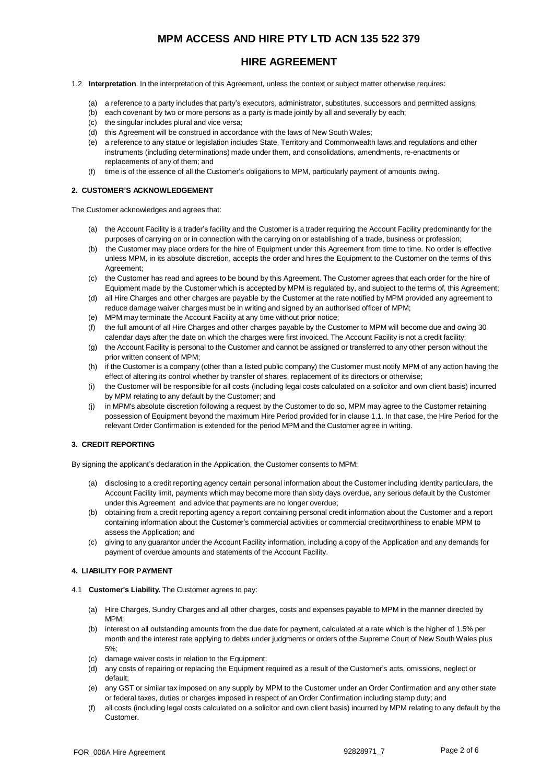## **HIRE AGREEMENT**

- 1.2 **Interpretation**. In the interpretation of this Agreement, unless the context or subject matter otherwise requires:
	- (a) a reference to a party includes that party's executors, administrator, substitutes, successors and permitted assigns;
	- (b) each covenant by two or more persons as a party is made jointly by all and severally by each;
	- (c) the singular includes plural and vice versa;
	- (d) this Agreement will be construed in accordance with the laws of New South Wales;
	- (e) a reference to any statue or legislation includes State, Territory and Commonwealth laws and regulations and other instruments (including determinations) made under them, and consolidations, amendments, re-enactments or replacements of any of them; and
	- (f) time is of the essence of all the Customer's obligations to MPM, particularly payment of amounts owing.

#### **2. CUSTOMER'S ACKNOWLEDGEMENT**

The Customer acknowledges and agrees that:

- (a) the Account Facility is a trader's facility and the Customer is a trader requiring the Account Facility predominantly for the purposes of carrying on or in connection with the carrying on or establishing of a trade, business or profession;
- (b) the Customer may place orders for the hire of Equipment under this Agreement from time to time. No order is effective unless MPM, in its absolute discretion, accepts the order and hires the Equipment to the Customer on the terms of this Agreement;
- (c) the Customer has read and agrees to be bound by this Agreement. The Customer agrees that each order for the hire of Equipment made by the Customer which is accepted by MPM is regulated by, and subject to the terms of, this Agreement;
- (d) all Hire Charges and other charges are payable by the Customer at the rate notified by MPM provided any agreement to reduce damage waiver charges must be in writing and signed by an authorised officer of MPM;
- (e) MPM may terminate the Account Facility at any time without prior notice;
- (f) the full amount of all Hire Charges and other charges payable by the Customer to MPM will become due and owing 30 calendar days after the date on which the charges were first invoiced. The Account Facility is not a credit facility;
- (g) the Account Facility is personal to the Customer and cannot be assigned or transferred to any other person without the prior written consent of MPM;
- (h) if the Customer is a company (other than a listed public company) the Customer must notify MPM of any action having the effect of altering its control whether by transfer of shares, replacement of its directors or otherwise;
- (i) the Customer will be responsible for all costs (including legal costs calculated on a solicitor and own client basis) incurred by MPM relating to any default by the Customer; and
- (j) in MPM's absolute discretion following a request by the Customer to do so, MPM may agree to the Customer retaining possession of Equipment beyond the maximum Hire Period provided for in clause 1.1. In that case, the Hire Period for the relevant Order Confirmation is extended for the period MPM and the Customer agree in writing.

### **3. CREDIT REPORTING**

By signing the applicant's declaration in the Application, the Customer consents to MPM:

- (a) disclosing to a credit reporting agency certain personal information about the Customer including identity particulars, the Account Facility limit, payments which may become more than sixty days overdue, any serious default by the Customer under this Agreement and advice that payments are no longer overdue;
- (b) obtaining from a credit reporting agency a report containing personal credit information about the Customer and a report containing information about the Customer's commercial activities or commercial creditworthiness to enable MPM to assess the Application; and
- (c) giving to any guarantor under the Account Facility information, including a copy of the Application and any demands for payment of overdue amounts and statements of the Account Facility.

### **4. LIABILITY FOR PAYMENT**

- 4.1 **Customer's Liability.** The Customer agrees to pay:
	- (a) Hire Charges, Sundry Charges and all other charges, costs and expenses payable to MPM in the manner directed by MPM;
	- (b) interest on all outstanding amounts from the due date for payment, calculated at a rate which is the higher of 1.5% per month and the interest rate applying to debts under judgments or orders of the Supreme Court of New South Wales plus 5%;
	- (c) damage waiver costs in relation to the Equipment;
	- (d) any costs of repairing or replacing the Equipment required as a result of the Customer's acts, omissions, neglect or default;
	- (e) any GST or similar tax imposed on any supply by MPM to the Customer under an Order Confirmation and any other state or federal taxes, duties or charges imposed in respect of an Order Confirmation including stamp duty; and
	- (f) all costs (including legal costs calculated on a solicitor and own client basis) incurred by MPM relating to any default by the Customer.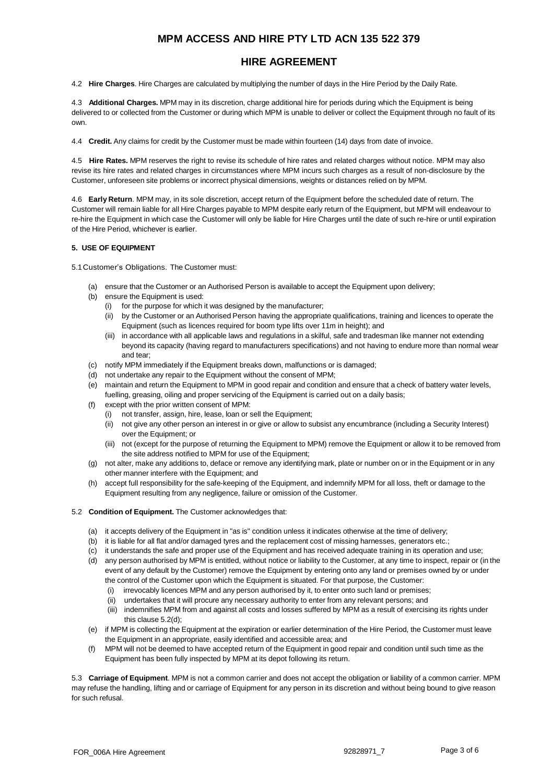## **HIRE AGREEMENT**

4.2 **Hire Charges**. Hire Charges are calculated by multiplying the number of days in the Hire Period by the Daily Rate.

4.3 **Additional Charges.** MPM may in its discretion, charge additional hire for periods during which the Equipment is being delivered to or collected from the Customer or during which MPM is unable to deliver or collect the Equipment through no fault of its own.

4.4 **Credit.** Any claims for credit by the Customer must be made within fourteen (14) days from date of invoice.

4.5 **Hire Rates.** MPM reserves the right to revise its schedule of hire rates and related charges without notice. MPM may also revise its hire rates and related charges in circumstances where MPM incurs such charges as a result of non-disclosure by the Customer, unforeseen site problems or incorrect physical dimensions, weights or distances relied on by MPM.

4.6 **Early Return**. MPM may, in its sole discretion, accept return of the Equipment before the scheduled date of return. The Customer will remain liable for all Hire Charges payable to MPM despite early return of the Equipment, but MPM will endeavour to re-hire the Equipment in which case the Customer will only be liable for Hire Charges until the date of such re-hire or until expiration of the Hire Period, whichever is earlier.

### **5. USE OF EQUIPMENT**

5.1Customer's Obligations. The Customer must:

- (a) ensure that the Customer or an Authorised Person is available to accept the Equipment upon delivery;
- (b) ensure the Equipment is used:
	- (i) for the purpose for which it was designed by the manufacturer;
	- (ii) by the Customer or an Authorised Person having the appropriate qualifications, training and licences to operate the Equipment (such as licences required for boom type lifts over 11m in height); and
	- (iii) in accordance with all applicable laws and regulations in a skilful, safe and tradesman like manner not extending beyond its capacity (having regard to manufacturers specifications) and not having to endure more than normal wear and tear;
- (c) notify MPM immediately if the Equipment breaks down, malfunctions or is damaged;
- (d) not undertake any repair to the Equipment without the consent of MPM;
- (e) maintain and return the Equipment to MPM in good repair and condition and ensure that a check of battery water levels, fuelling, greasing, oiling and proper servicing of the Equipment is carried out on a daily basis;
- (f) except with the prior written consent of MPM:
	- (i) not transfer, assign, hire, lease, loan or sell the Equipment;
	- (ii) not give any other person an interest in or give or allow to subsist any encumbrance (including a Security Interest) over the Equipment; or
	- (iii) not (except for the purpose of returning the Equipment to MPM) remove the Equipment or allow it to be removed from the site address notified to MPM for use of the Equipment;
- (g) not alter, make any additions to, deface or remove any identifying mark, plate or number on or in the Equipment or in any other manner interfere with the Equipment; and
- (h) accept full responsibility for the safe-keeping of the Equipment, and indemnify MPM for all loss, theft or damage to the Equipment resulting from any negligence, failure or omission of the Customer.
- 5.2 **Condition of Equipment.** The Customer acknowledges that:
	- (a) it accepts delivery of the Equipment in "as is" condition unless it indicates otherwise at the time of delivery;
	- (b) it is liable for all flat and/or damaged tyres and the replacement cost of missing harnesses, generators etc.;
	- (c) it understands the safe and proper use of the Equipment and has received adequate training in its operation and use;
	- (d) any person authorised by MPM is entitled, without notice or liability to the Customer, at any time to inspect, repair or (in the event of any default by the Customer) remove the Equipment by entering onto any land or premises owned by or under the control of the Customer upon which the Equipment is situated. For that purpose, the Customer:
		- (i) irrevocably licences MPM and any person authorised by it, to enter onto such land or premises;
		- (ii) undertakes that it will procure any necessary authority to enter from any relevant persons; and
		- (iii) indemnifies MPM from and against all costs and losses suffered by MPM as a result of exercising its rights under this clause 5.2(d);
	- (e) if MPM is collecting the Equipment at the expiration or earlier determination of the Hire Period, the Customer must leave the Equipment in an appropriate, easily identified and accessible area; and
	- (f) MPM will not be deemed to have accepted return of the Equipment in good repair and condition until such time as the Equipment has been fully inspected by MPM at its depot following its return.

5.3 **Carriage of Equipment**. MPM is not a common carrier and does not accept the obligation or liability of a common carrier. MPM may refuse the handling, lifting and or carriage of Equipment for any person in its discretion and without being bound to give reason for such refusal.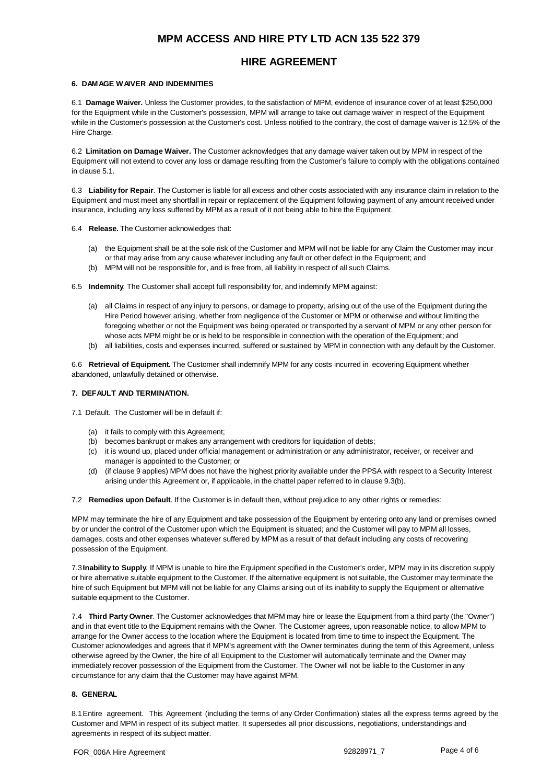## **HIRE AGREEMENT**

#### **6. DAMAGE WAIVER AND INDEMNITIES**

6.1 **Damage Waiver.** Unless the Customer provides, to the satisfaction of MPM, evidence of insurance cover of at least \$250,000 for the Equipment while in the Customer's possession, MPM will arrange to take out damage waiver in respect of the Equipment while in the Customer's possession at the Customer's cost. Unless notified to the contrary, the cost of damage waiver is 12.5% of the Hire Charge.

6.2 **Limitation on Damage Waiver.** The Customer acknowledges that any damage waiver taken out by MPM in respect of the Equipment will not extend to cover any loss or damage resulting from the Customer's failure to comply with the obligations contained in clause 5.1.

6.3 **Liability for Repair**. The Customer is liable for all excess and other costs associated with any insurance claim in relation to the Equipment and must meet any shortfall in repair or replacement of the Equipment following payment of any amount received under insurance, including any loss suffered by MPM as a result of it not being able to hire the Equipment.

- 6.4 **Release.** The Customer acknowledges that:
	- (a) the Equipment shall be at the sole risk of the Customer and MPM will not be liable for any Claim the Customer may incur or that may arise from any cause whatever including any fault or other defect in the Equipment; and
	- (b) MPM will not be responsible for, and is free from, all liability in respect of all such Claims.
- 6.5 **Indemnity**. The Customer shall accept full responsibility for, and indemnify MPM against:
	- (a) all Claims in respect of any injury to persons, or damage to property, arising out of the use of the Equipment during the Hire Period however arising, whether from negligence of the Customer or MPM or otherwise and without limiting the foregoing whether or not the Equipment was being operated or transported by a servant of MPM or any other person for whose acts MPM might be or is held to be responsible in connection with the operation of the Equipment; and
	- (b) all liabilities, costs and expenses incurred, suffered or sustained by MPM in connection with any default by the Customer.

6.6 **Retrieval of Equipment.** The Customer shall indemnify MPM for any costs incurred in ecovering Equipment whether abandoned, unlawfully detained or otherwise.

### **7. DEFAULT AND TERMINATION.**

7.1 Default. The Customer will be in default if:

- (a) it fails to comply with this Agreement;
- (b) becomes bankrupt or makes any arrangement with creditors for liquidation of debts;
- (c) it is wound up, placed under official management or administration or any administrator, receiver, or receiver and manager is appointed to the Customer; or
- (d) (if clause 9 applies) MPM does not have the highest priority available under the PPSA with respect to a Security Interest arising under this Agreement or, if applicable, in the chattel paper referred to in clause 9.3(b).

7.2 **Remedies upon Default**. If the Customer is in default then, without prejudice to any other rights or remedies:

MPM may terminate the hire of any Equipment and take possession of the Equipment by entering onto any land or premises owned by or under the control of the Customer upon which the Equipment is situated; and the Customer will pay to MPM all losses, damages, costs and other expenses whatever suffered by MPM as a result of that default including any costs of recovering possession of the Equipment.

7.3**Inability to Supply**. If MPM is unable to hire the Equipment specified in the Customer's order, MPM may in its discretion supply or hire alternative suitable equipment to the Customer. If the alternative equipment is not suitable, the Customer may terminate the hire of such Equipment but MPM will not be liable for any Claims arising out of its inability to supply the Equipment or alternative suitable equipment to the Customer.

7.4 **Third Party Owner**. The Customer acknowledges that MPM may hire or lease the Equipment from a third party (the "Owner") and in that event title to the Equipment remains with the Owner. The Customer agrees, upon reasonable notice, to allow MPM to arrange for the Owner access to the location where the Equipment is located from time to time to inspect the Equipment. The Customer acknowledges and agrees that if MPM's agreement with the Owner terminates during the term of this Agreement, unless otherwise agreed by the Owner, the hire of all Equipment to the Customer will automatically terminate and the Owner may immediately recover possession of the Equipment from the Customer. The Owner will not be liable to the Customer in any circumstance for any claim that the Customer may have against MPM.

### **8. GENERAL**

8.1Entire agreement. This Agreement (including the terms of any Order Confirmation) states all the express terms agreed by the Customer and MPM in respect of its subject matter. It supersedes all prior discussions, negotiations, understandings and agreements in respect of its subject matter.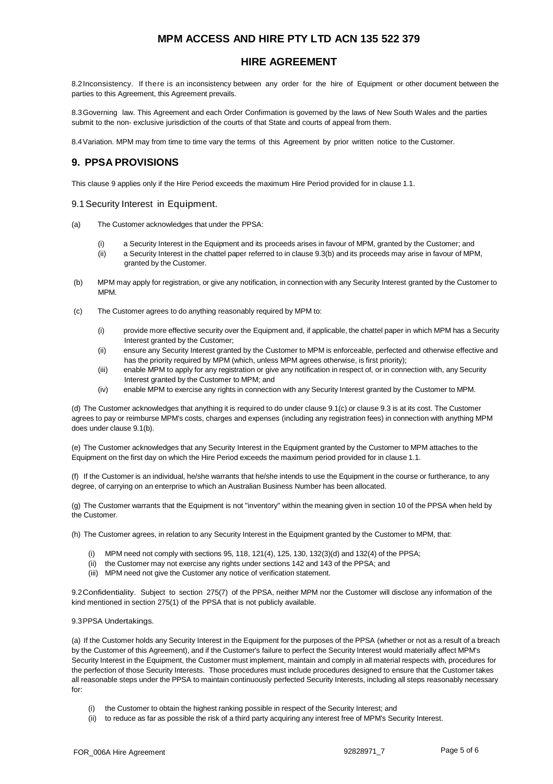### **HIRE AGREEMENT**

8.2Inconsistency. If there is an inconsistency between any order for the hire of Equipment or other document between the parties to this Agreement, this Agreement prevails.

8.3Governing law. This Agreement and each Order Confirmation is governed by the laws of New South Wales and the parties submit to the non- exclusive jurisdiction of the courts of that State and courts of appeal from them.

8.4Variation. MPM may from time to time vary the terms of this Agreement by prior written notice to the Customer.

## **9. PPSA PROVISIONS**

This clause 9 applies only if the Hire Period exceeds the maximum Hire Period provided for in clause 1.1.

### 9.1 Security Interest in Equipment.

- (a) The Customer acknowledges that under the PPSA:
	- (i) a Security Interest in the Equipment and its proceeds arises in favour of MPM, granted by the Customer; and
	- (ii) a Security Interest in the chattel paper referred to in clause 9.3(b) and its proceeds may arise in favour of MPM, granted by the Customer.
- (b) MPM may apply for registration, or give any notification, in connection with any Security Interest granted by the Customer to MPM.
- (c) The Customer agrees to do anything reasonably required by MPM to:
	- (i) provide more effective security over the Equipment and, if applicable, the chattel paper in which MPM has a Security Interest granted by the Customer;
	- (ii) ensure any Security Interest granted by the Customer to MPM is enforceable, perfected and otherwise effective and has the priority required by MPM (which, unless MPM agrees otherwise, is first priority);
	- (iii) enable MPM to apply for any registration or give any notification in respect of, or in connection with, any Security Interest granted by the Customer to MPM; and
	- (iv) enable MPM to exercise any rights in connection with any Security Interest granted by the Customer to MPM.

(d) The Customer acknowledges that anything it is required to do under clause 9.1(c) or clause 9.3 is at its cost. The Customer agrees to pay or reimburse MPM's costs, charges and expenses (including any registration fees) in connection with anything MPM does under clause 9.1(b).

(e) The Customer acknowledges that any Security Interest in the Equipment granted by the Customer to MPM attaches to the Equipment on the first day on which the Hire Period exceeds the maximum period provided for in clause 1.1.

(f) If the Customer is an individual, he/she warrants that he/she intends to use the Equipment in the course or furtherance, to any degree, of carrying on an enterprise to which an Australian Business Number has been allocated.

(g) The Customer warrants that the Equipment is not "inventory" within the meaning given in section 10 of the PPSA when held by the Customer.

(h) The Customer agrees, in relation to any Security Interest in the Equipment granted by the Customer to MPM, that:

- (i) MPM need not comply with sections 95, 118, 121(4), 125, 130, 132(3)(d) and 132(4) of the PPSA;
- (ii) the Customer may not exercise any rights under sections 142 and 143 of the PPSA; and
- (iii) MPM need not give the Customer any notice of verification statement.

9.2Confidentiality. Subject to section 275(7) of the PPSA, neither MPM nor the Customer will disclose any information of the kind mentioned in section 275(1) of the PPSA that is not publicly available.

### 9.3PPSA Undertakings.

(a) If the Customer holds any Security Interest in the Equipment for the purposes of the PPSA (whether or not as a result of a breach by the Customer of this Agreement), and if the Customer's failure to perfect the Security Interest would materially affect MPM's Security Interest in the Equipment, the Customer must implement, maintain and comply in all material respects with, procedures for the perfection of those Security Interests. Those procedures must include procedures designed to ensure that the Customer takes all reasonable steps under the PPSA to maintain continuously perfected Security Interests, including all steps reasonably necessary for:

- (i) the Customer to obtain the highest ranking possible in respect of the Security Interest; and
- (ii) to reduce as far as possible the risk of a third party acquiring any interest free of MPM's Security Interest.